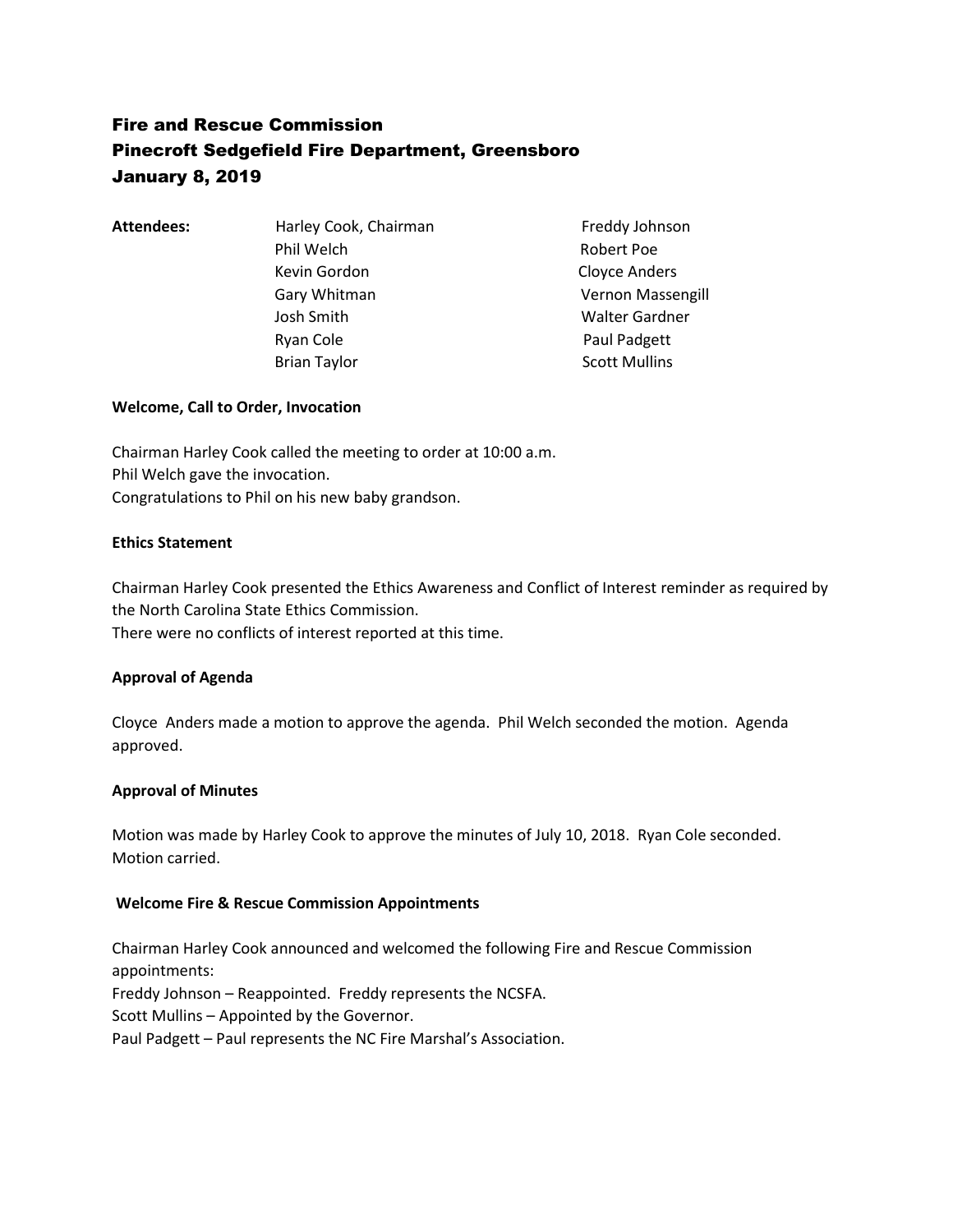# Fire and Rescue Commission Pinecroft Sedgefield Fire Department, Greensboro January 8, 2019

Attendees: Harley Cook, Chairman Freddy Johnson Phil Welch **Robert Poe** Kevin Gordon **Cloyce Anders**  Josh Smith Walter Gardner Ryan Cole **Paul Padgett** Brian Taylor **Scott Mullins** 

Gary Whitman Vernon Massengill

# **Welcome, Call to Order, Invocation**

Chairman Harley Cook called the meeting to order at 10:00 a.m. Phil Welch gave the invocation. Congratulations to Phil on his new baby grandson.

# **Ethics Statement**

Chairman Harley Cook presented the Ethics Awareness and Conflict of Interest reminder as required by the North Carolina State Ethics Commission. There were no conflicts of interest reported at this time.

# **Approval of Agenda**

Cloyce Anders made a motion to approve the agenda. Phil Welch seconded the motion. Agenda approved.

# **Approval of Minutes**

Motion was made by Harley Cook to approve the minutes of July 10, 2018. Ryan Cole seconded. Motion carried.

# **Welcome Fire & Rescue Commission Appointments**

Chairman Harley Cook announced and welcomed the following Fire and Rescue Commission appointments: Freddy Johnson – Reappointed. Freddy represents the NCSFA. Scott Mullins – Appointed by the Governor. Paul Padgett – Paul represents the NC Fire Marshal's Association.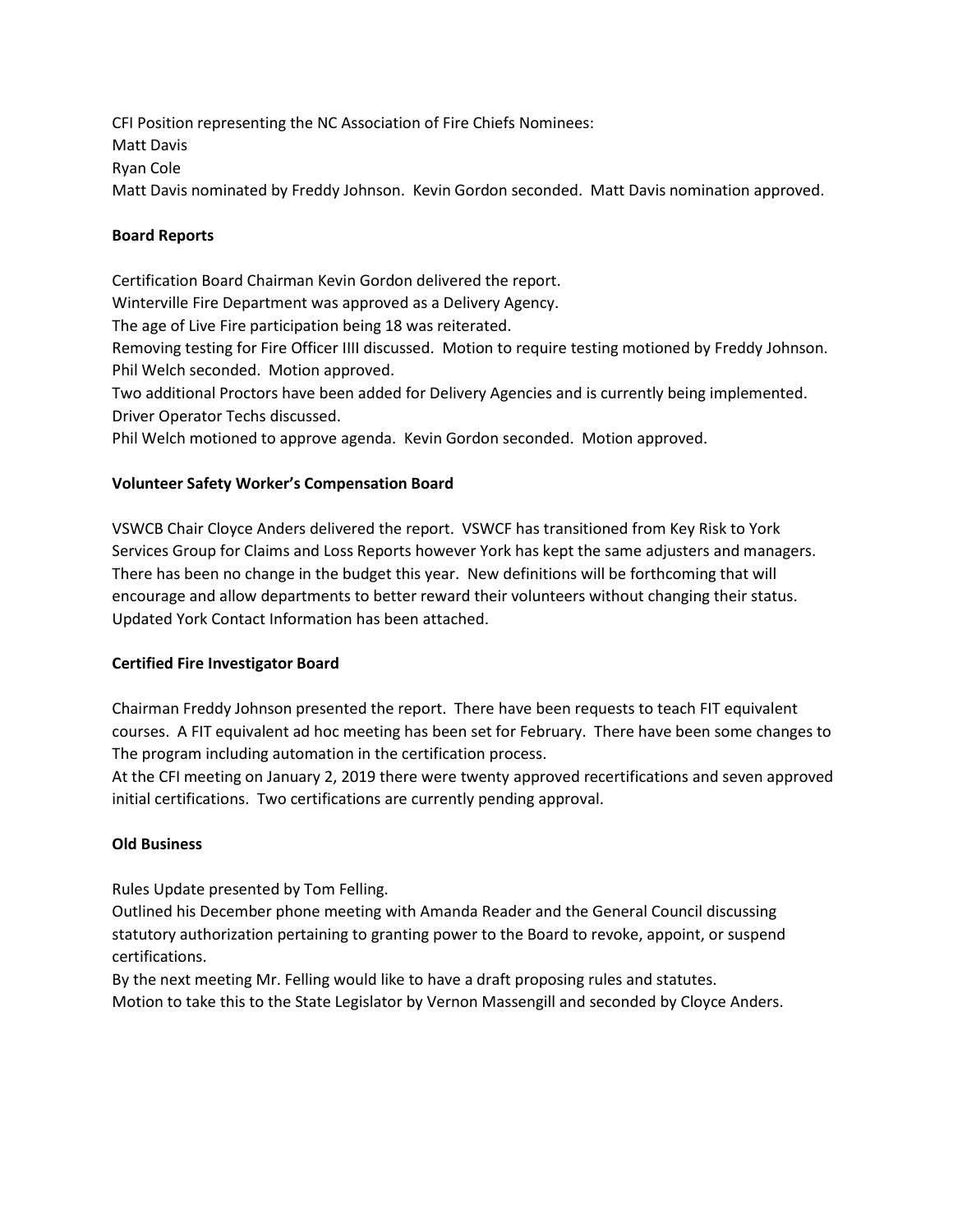CFI Position representing the NC Association of Fire Chiefs Nominees: Matt Davis Ryan Cole Matt Davis nominated by Freddy Johnson. Kevin Gordon seconded. Matt Davis nomination approved.

#### **Board Reports**

Certification Board Chairman Kevin Gordon delivered the report.

Winterville Fire Department was approved as a Delivery Agency.

The age of Live Fire participation being 18 was reiterated.

Removing testing for Fire Officer IIII discussed. Motion to require testing motioned by Freddy Johnson. Phil Welch seconded. Motion approved.

Two additional Proctors have been added for Delivery Agencies and is currently being implemented. Driver Operator Techs discussed.

Phil Welch motioned to approve agenda. Kevin Gordon seconded. Motion approved.

## **Volunteer Safety Worker's Compensation Board**

VSWCB Chair Cloyce Anders delivered the report. VSWCF has transitioned from Key Risk to York Services Group for Claims and Loss Reports however York has kept the same adjusters and managers. There has been no change in the budget this year. New definitions will be forthcoming that will encourage and allow departments to better reward their volunteers without changing their status. Updated York Contact Information has been attached.

#### **Certified Fire Investigator Board**

Chairman Freddy Johnson presented the report. There have been requests to teach FIT equivalent courses. A FIT equivalent ad hoc meeting has been set for February. There have been some changes to The program including automation in the certification process.

At the CFI meeting on January 2, 2019 there were twenty approved recertifications and seven approved initial certifications. Two certifications are currently pending approval.

#### **Old Business**

Rules Update presented by Tom Felling.

Outlined his December phone meeting with Amanda Reader and the General Council discussing statutory authorization pertaining to granting power to the Board to revoke, appoint, or suspend certifications.

By the next meeting Mr. Felling would like to have a draft proposing rules and statutes. Motion to take this to the State Legislator by Vernon Massengill and seconded by Cloyce Anders.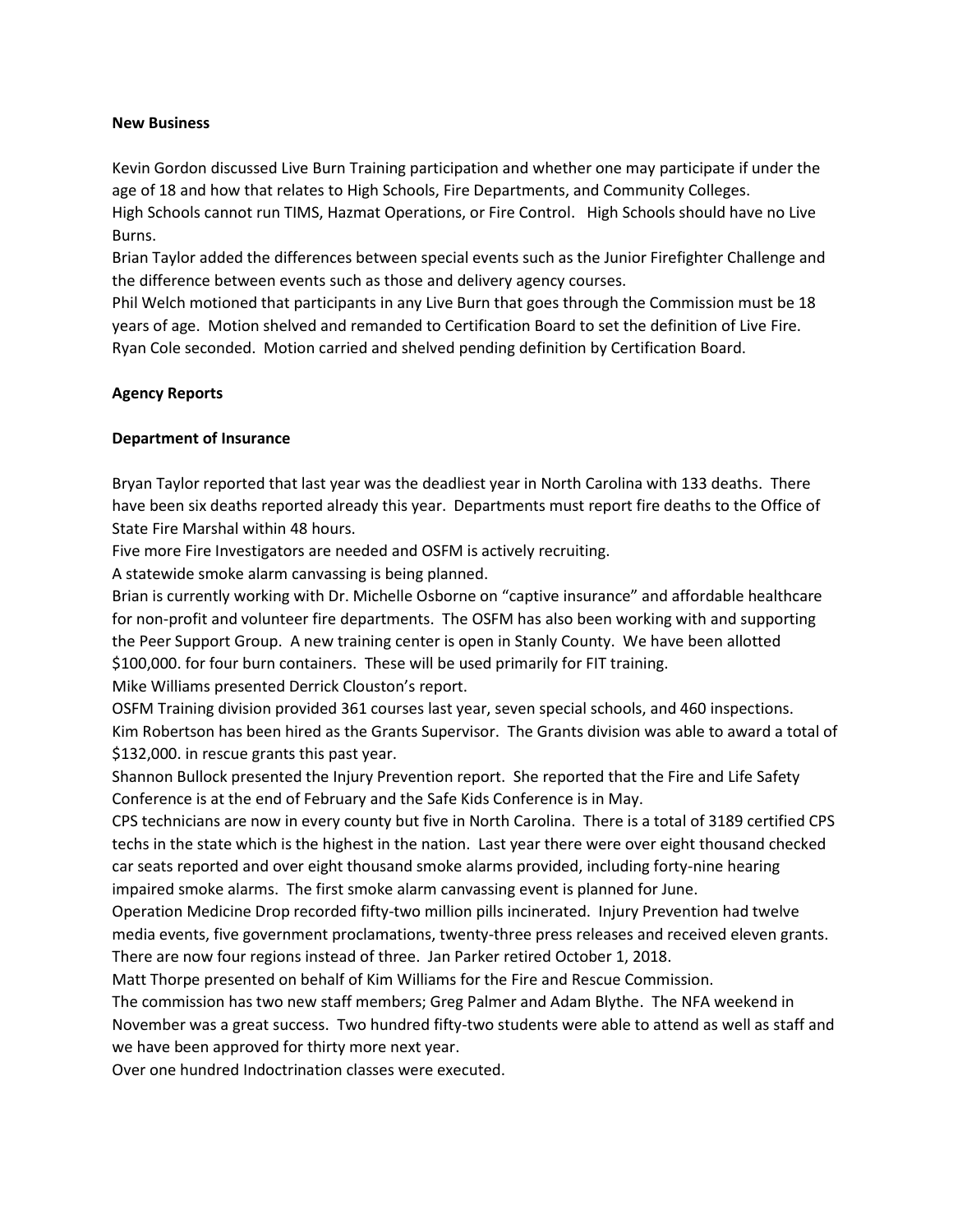#### **New Business**

Kevin Gordon discussed Live Burn Training participation and whether one may participate if under the age of 18 and how that relates to High Schools, Fire Departments, and Community Colleges.

High Schools cannot run TIMS, Hazmat Operations, or Fire Control. High Schools should have no Live Burns.

Brian Taylor added the differences between special events such as the Junior Firefighter Challenge and the difference between events such as those and delivery agency courses.

Phil Welch motioned that participants in any Live Burn that goes through the Commission must be 18 years of age. Motion shelved and remanded to Certification Board to set the definition of Live Fire. Ryan Cole seconded. Motion carried and shelved pending definition by Certification Board.

#### **Agency Reports**

#### **Department of Insurance**

Bryan Taylor reported that last year was the deadliest year in North Carolina with 133 deaths. There have been six deaths reported already this year. Departments must report fire deaths to the Office of State Fire Marshal within 48 hours.

Five more Fire Investigators are needed and OSFM is actively recruiting.

A statewide smoke alarm canvassing is being planned.

Brian is currently working with Dr. Michelle Osborne on "captive insurance" and affordable healthcare for non-profit and volunteer fire departments. The OSFM has also been working with and supporting the Peer Support Group. A new training center is open in Stanly County. We have been allotted \$100,000. for four burn containers. These will be used primarily for FIT training. Mike Williams presented Derrick Clouston's report.

OSFM Training division provided 361 courses last year, seven special schools, and 460 inspections. Kim Robertson has been hired as the Grants Supervisor. The Grants division was able to award a total of \$132,000. in rescue grants this past year.

Shannon Bullock presented the Injury Prevention report. She reported that the Fire and Life Safety Conference is at the end of February and the Safe Kids Conference is in May.

CPS technicians are now in every county but five in North Carolina. There is a total of 3189 certified CPS techs in the state which is the highest in the nation. Last year there were over eight thousand checked car seats reported and over eight thousand smoke alarms provided, including forty-nine hearing impaired smoke alarms. The first smoke alarm canvassing event is planned for June.

Operation Medicine Drop recorded fifty-two million pills incinerated. Injury Prevention had twelve media events, five government proclamations, twenty-three press releases and received eleven grants. There are now four regions instead of three. Jan Parker retired October 1, 2018.

Matt Thorpe presented on behalf of Kim Williams for the Fire and Rescue Commission.

The commission has two new staff members; Greg Palmer and Adam Blythe. The NFA weekend in November was a great success. Two hundred fifty-two students were able to attend as well as staff and we have been approved for thirty more next year.

Over one hundred Indoctrination classes were executed.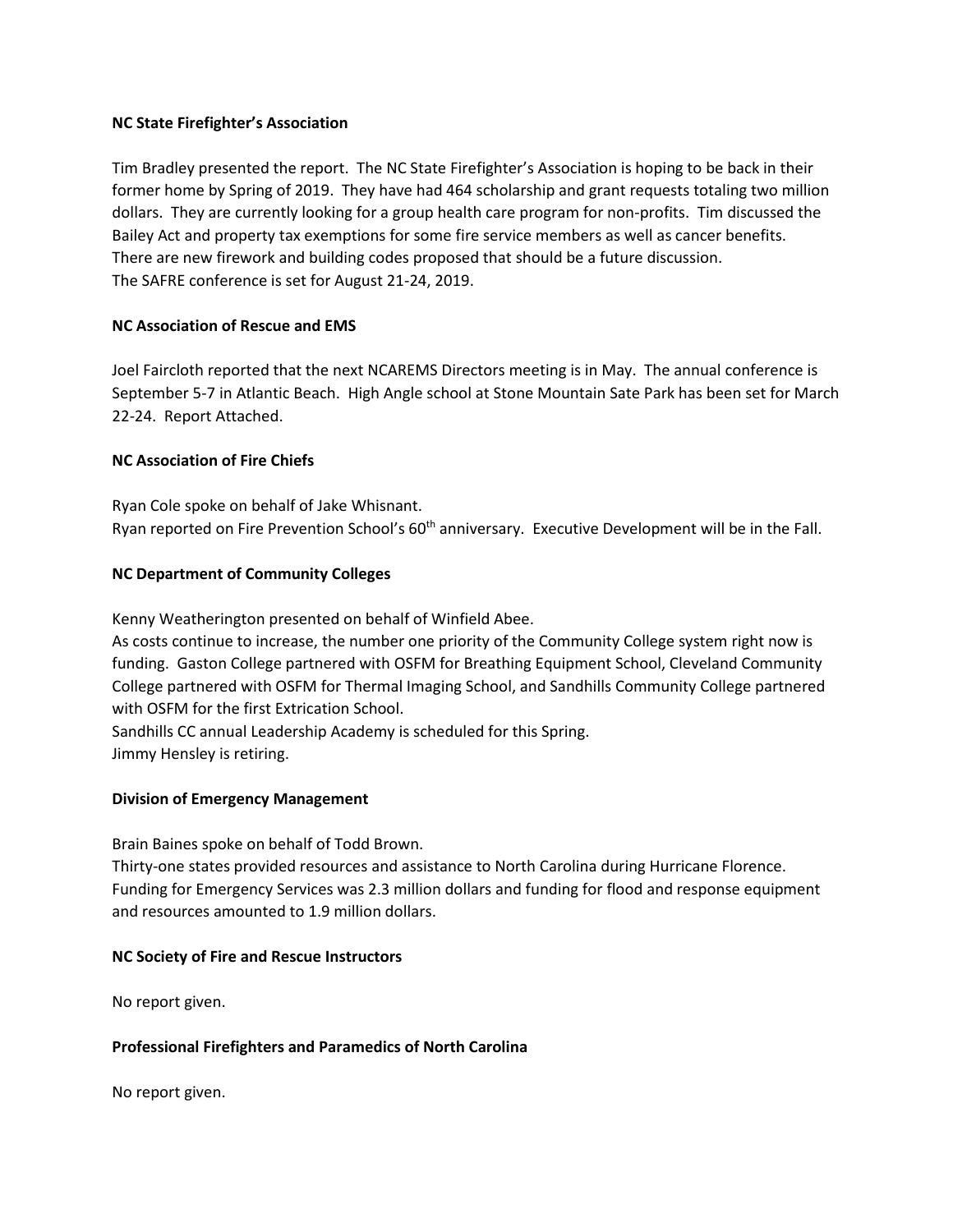### **NC State Firefighter's Association**

Tim Bradley presented the report. The NC State Firefighter's Association is hoping to be back in their former home by Spring of 2019. They have had 464 scholarship and grant requests totaling two million dollars. They are currently looking for a group health care program for non-profits. Tim discussed the Bailey Act and property tax exemptions for some fire service members as well as cancer benefits. There are new firework and building codes proposed that should be a future discussion. The SAFRE conference is set for August 21-24, 2019.

## **NC Association of Rescue and EMS**

Joel Faircloth reported that the next NCAREMS Directors meeting is in May. The annual conference is September 5-7 in Atlantic Beach. High Angle school at Stone Mountain Sate Park has been set for March 22-24. Report Attached.

## **NC Association of Fire Chiefs**

Ryan Cole spoke on behalf of Jake Whisnant. Ryan reported on Fire Prevention School's 60<sup>th</sup> anniversary. Executive Development will be in the Fall.

## **NC Department of Community Colleges**

Kenny Weatherington presented on behalf of Winfield Abee.

As costs continue to increase, the number one priority of the Community College system right now is funding. Gaston College partnered with OSFM for Breathing Equipment School, Cleveland Community College partnered with OSFM for Thermal Imaging School, and Sandhills Community College partnered with OSFM for the first Extrication School.

Sandhills CC annual Leadership Academy is scheduled for this Spring. Jimmy Hensley is retiring.

# **Division of Emergency Management**

Brain Baines spoke on behalf of Todd Brown.

Thirty-one states provided resources and assistance to North Carolina during Hurricane Florence. Funding for Emergency Services was 2.3 million dollars and funding for flood and response equipment and resources amounted to 1.9 million dollars.

#### **NC Society of Fire and Rescue Instructors**

No report given.

#### **Professional Firefighters and Paramedics of North Carolina**

No report given.